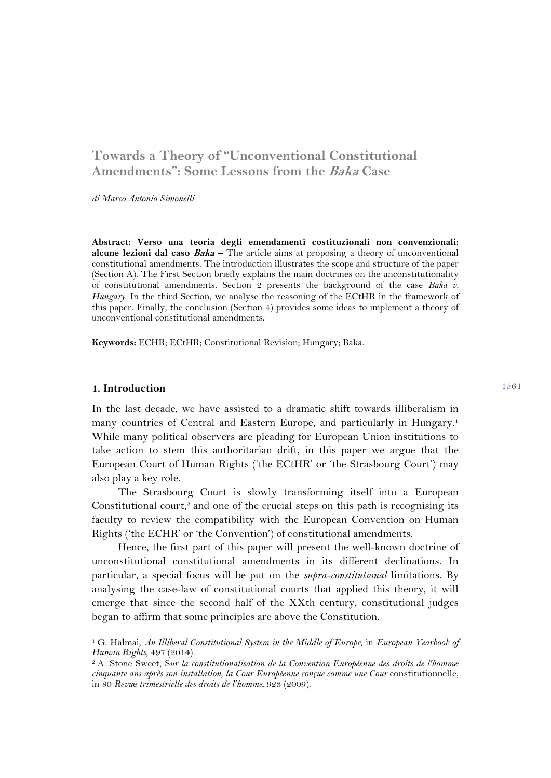# **Towards a Theory of "Unconventional Constitutional Amendments": Some Lessons from the Baka Case**

*di Marco Antonio Simonelli* 

**Abstract: Verso una teoria degli emendamenti costituzionali non convenzionali: alcune lezioni dal caso Baka –** The article aims at proposing a theory of unconventional constitutional amendments. The introduction illustrates the scope and structure of the paper (Section A). The First Section briefly explains the main doctrines on the unconstitutionality of constitutional amendments. Section 2 presents the background of the case *Baka v. Hungary*. In the third Section, we analyse the reasoning of the ECtHR in the framework of this paper. Finally, the conclusion (Section 4) provides some ideas to implement a theory of unconventional constitutional amendments.

**Keywords:** ECHR; ECtHR; Constitutional Revision; Hungary; Baka.

#### **1. Introduction**

 $\overline{a}$ 

In the last decade, we have assisted to a dramatic shift towards illiberalism in many countries of Central and Eastern Europe, and particularly in Hungary.1 While many political observers are pleading for European Union institutions to take action to stem this authoritarian drift, in this paper we argue that the European Court of Human Rights ('the ECtHR' or 'the Strasbourg Court') may also play a key role.

The Strasbourg Court is slowly transforming itself into a European Constitutional court,<sup>2</sup> and one of the crucial steps on this path is recognising its faculty to review the compatibility with the European Convention on Human Rights ('the ECHR' or 'the Convention') of constitutional amendments.

Hence, the first part of this paper will present the well-known doctrine of unconstitutional constitutional amendments in its different declinations. In particular, a special focus will be put on the *supra-constitutional* limitations. By analysing the case-law of constitutional courts that applied this theory, it will emerge that since the second half of the XXth century, constitutional judges began to affirm that some principles are above the Constitution.

<sup>1</sup> G. Halmai, *An Illiberal Constitutional System in the Middle of Europe*, in *European Yearbook of Human Rights*, 497 (2014).<br><sup>2</sup> A. Stone Sweet, Sur la constitutionalisation de la Convention Européenne des droits de l'homme:

*cinquante ans après son installation, la Cour Européenne conçue comme une Cour* constitutionnelle, in 80 *Revu*e *trimestrielle des droits de l'homme*, 923 (2009).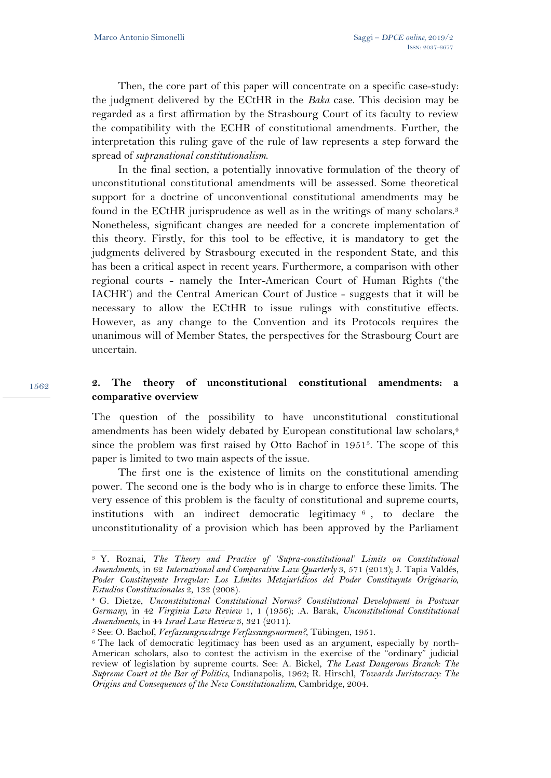1562

 $\overline{a}$ 

Then, the core part of this paper will concentrate on a specific case-study: the judgment delivered by the ECtHR in the *Baka* case. This decision may be regarded as a first affirmation by the Strasbourg Court of its faculty to review the compatibility with the ECHR of constitutional amendments. Further, the interpretation this ruling gave of the rule of law represents a step forward the spread of *supranational constitutionalism*.

In the final section, a potentially innovative formulation of the theory of unconstitutional constitutional amendments will be assessed. Some theoretical support for a doctrine of unconventional constitutional amendments may be found in the ECtHR jurisprudence as well as in the writings of many scholars.<sup>3</sup> Nonetheless, significant changes are needed for a concrete implementation of this theory. Firstly, for this tool to be effective, it is mandatory to get the judgments delivered by Strasbourg executed in the respondent State, and this has been a critical aspect in recent years. Furthermore, a comparison with other regional courts - namely the Inter-American Court of Human Rights ('the IACHR') and the Central American Court of Justice - suggests that it will be necessary to allow the ECtHR to issue rulings with constitutive effects. However, as any change to the Convention and its Protocols requires the unanimous will of Member States, the perspectives for the Strasbourg Court are uncertain.

# **2. The theory of unconstitutional constitutional amendments: a comparative overview**

The question of the possibility to have unconstitutional constitutional amendments has been widely debated by European constitutional law scholars,<sup>4</sup> since the problem was first raised by Otto Bachof in 19515. The scope of this paper is limited to two main aspects of the issue.

The first one is the existence of limits on the constitutional amending power. The second one is the body who is in charge to enforce these limits. The very essence of this problem is the faculty of constitutional and supreme courts, institutions with an indirect democratic legitimacy  $\epsilon$ , to declare the unconstitutionality of a provision which has been approved by the Parliament

<sup>3</sup> Y. Roznai, *The Theory and Practice of 'Supra-constitutional' Limits on Constitutional Amendments*, in 62 *International and Comparative Law Quarterly* 3, 571 (2013); J. Tapia Valdés, Poder Constituyente Irregular: Los Límites Metajurídicos del Poder Constituynte Originario, Estudios Constitucionales 2, 132 (2008).

<sup>&</sup>lt;sup>4</sup> G. Dietze, *Unconstitutional Constitutional Norms? Constitutional Development in Postwar Germany*, in 42 *Virginia Law Review* 1, 1 (1956); .A. Barak, *Unconstitutional Constitutional*  Amendments, in 44 Israel Law Review 3, 321 (2011).<br><sup>5</sup> See: O. Bachof, *Verfassungswidrige Verfassungsnormen?*, Tübingen, 1951.<br><sup>6</sup> The lack of democratic legitimacy has been used as an argument, especially by north-

American scholars, also to contest the activism in the exercise of the "ordinary" judicial review of legislation by supreme courts. See: A. Bickel, *The Least Dangerous Branch: The Supreme Court at the Bar of Politics*, Indianapolis, 1962; R. Hirschl, *Towards Juristocracy: The Origins and Consequences of the New Constitutionalism*, Cambridge, 2004.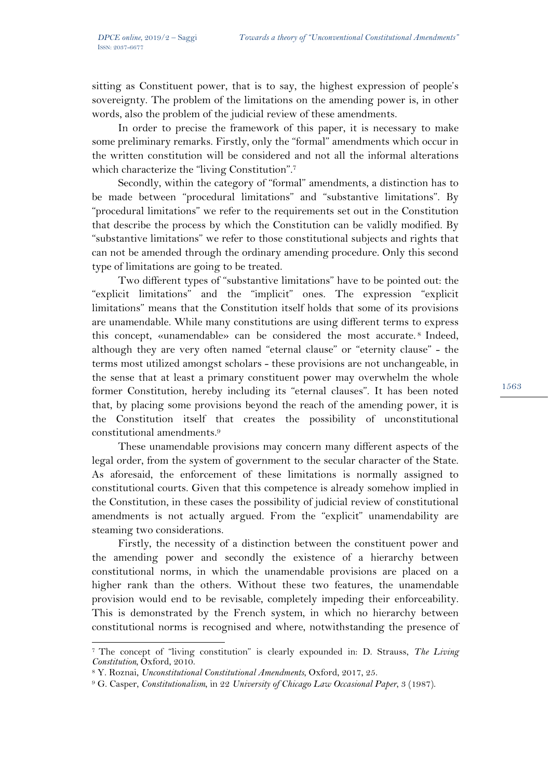sitting as Constituent power, that is to say, the highest expression of people's sovereignty. The problem of the limitations on the amending power is, in other words, also the problem of the judicial review of these amendments.

In order to precise the framework of this paper, it is necessary to make some preliminary remarks. Firstly, only the "formal" amendments which occur in the written constitution will be considered and not all the informal alterations which characterize the "living Constitution".<sup>7</sup>

Secondly, within the category of "formal" amendments, a distinction has to be made between "procedural limitations" and "substantive limitations". By "procedural limitations" we refer to the requirements set out in the Constitution that describe the process by which the Constitution can be validly modified. By "substantive limitations" we refer to those constitutional subjects and rights that can not be amended through the ordinary amending procedure. Only this second type of limitations are going to be treated.

Two different types of "substantive limitations" have to be pointed out: the "explicit limitations" and the "implicit" ones. The expression "explicit limitations" means that the Constitution itself holds that some of its provisions are unamendable. While many constitutions are using different terms to express this concept, «unamendable» can be considered the most accurate. 8 Indeed, although they are very often named "eternal clause" or "eternity clause" - the terms most utilized amongst scholars - these provisions are not unchangeable, in the sense that at least a primary constituent power may overwhelm the whole former Constitution, hereby including its "eternal clauses". It has been noted that, by placing some provisions beyond the reach of the amending power, it is the Constitution itself that creates the possibility of unconstitutional constitutional amendments.9

These unamendable provisions may concern many different aspects of the legal order, from the system of government to the secular character of the State. As aforesaid, the enforcement of these limitations is normally assigned to constitutional courts. Given that this competence is already somehow implied in the Constitution, in these cases the possibility of judicial review of constitutional amendments is not actually argued. From the "explicit" unamendability are steaming two considerations.

Firstly, the necessity of a distinction between the constituent power and the amending power and secondly the existence of a hierarchy between constitutional norms, in which the unamendable provisions are placed on a higher rank than the others. Without these two features, the unamendable provision would end to be revisable, completely impeding their enforceability. This is demonstrated by the French system, in which no hierarchy between constitutional norms is recognised and where, notwithstanding the presence of

<sup>7</sup> The concept of "living constitution" is clearly expounded in: D. Strauss, *The Living* 

<sup>&</sup>lt;sup>8</sup> Y. Roznai, *Unconstitutional Constitutional Amendments*, Oxford, 2017, 25.<br><sup>9</sup> G. Casper, *Constitutionalism*, in 22 *University of Chicago Law Occasional Paper*, 3 (1987).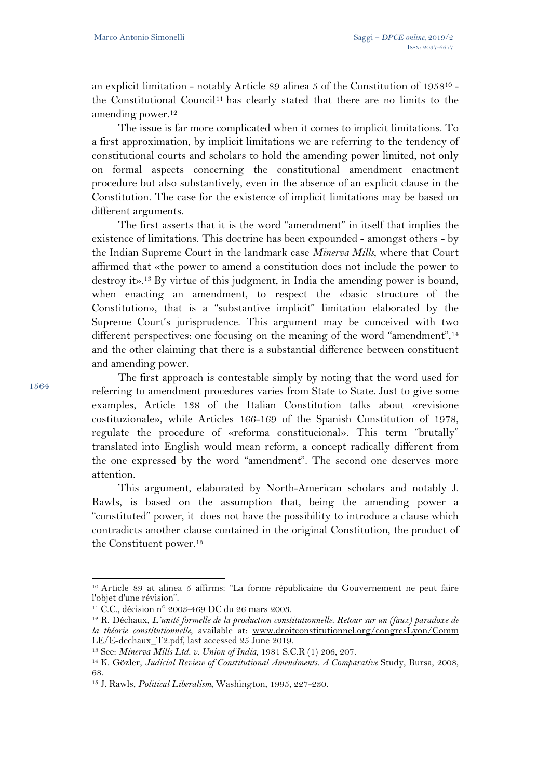an explicit limitation - notably Article 89 alinea 5 of the Constitution of 195810 the Constitutional Council11 has clearly stated that there are no limits to the amending power.12

The issue is far more complicated when it comes to implicit limitations. To a first approximation, by implicit limitations we are referring to the tendency of constitutional courts and scholars to hold the amending power limited, not only on formal aspects concerning the constitutional amendment enactment procedure but also substantively, even in the absence of an explicit clause in the Constitution. The case for the existence of implicit limitations may be based on different arguments.

The first asserts that it is the word "amendment" in itself that implies the existence of limitations. This doctrine has been expounded - amongst others - by the Indian Supreme Court in the landmark case *Minerva Mills*, where that Court affirmed that «the power to amend a constitution does not include the power to destroy it».13 By virtue of this judgment, in India the amending power is bound, when enacting an amendment, to respect the «basic structure of the Constitution», that is a "substantive implicit" limitation elaborated by the Supreme Court's jurisprudence. This argument may be conceived with two different perspectives: one focusing on the meaning of the word "amendment",<sup>14</sup> and the other claiming that there is a substantial difference between constituent and amending power.

The first approach is contestable simply by noting that the word used for referring to amendment procedures varies from State to State. Just to give some examples, Article 138 of the Italian Constitution talks about «revisione costituzionale», while Articles 166-169 of the Spanish Constitution of 1978, regulate the procedure of «reforma constitucional». This term "brutally" translated into English would mean reform, a concept radically different from the one expressed by the word "amendment". The second one deserves more attention.

This argument, elaborated by North-American scholars and notably J. Rawls, is based on the assumption that, being the amending power a "constituted" power, it does not have the possibility to introduce a clause which contradicts another clause contained in the original Constitution, the product of the Constituent power.15

<sup>10</sup> Article 89 at alinea 5 affirms: "La forme républicaine du Gouvernement ne peut faire l'objet d'une révision".

<sup>11</sup> C.C., décision n° 2003-469 DC du 26 mars 2003.

<sup>12</sup> R. Déchaux, *L'unité formelle de la production constitutionnelle. Retour sur un (faux) paradoxe de la théorie constitutionnelle*, available at: www.droitconstitutionnel.org/congresLyon/Comm LE/E-dechaux T2.pdf, last accessed 25 June 2019.

<sup>13</sup> See: *Minerva Mills Ltd. v. Union of India*, 1981 S.C.R (1) 206, 207. 14 K. Gözler, *Judicial Review of Constitutional Amendments. A Comparative* Study, Bursa, 2008, 68.

<sup>15</sup> J. Rawls, *Political Liberalism*, Washington, 1995, 227-230.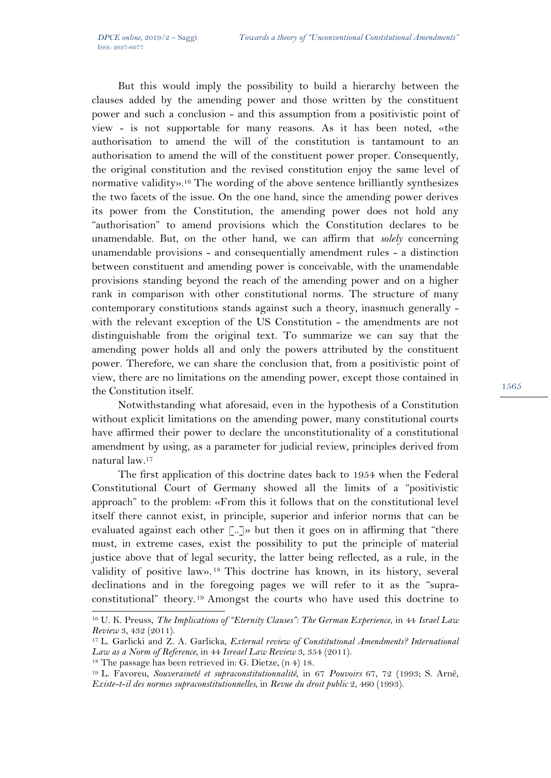But this would imply the possibility to build a hierarchy between the clauses added by the amending power and those written by the constituent power and such a conclusion - and this assumption from a positivistic point of view - is not supportable for many reasons. As it has been noted, «the authorisation to amend the will of the constitution is tantamount to an authorisation to amend the will of the constituent power proper. Consequently, the original constitution and the revised constitution enjoy the same level of normative validity».16 The wording of the above sentence brilliantly synthesizes the two facets of the issue. On the one hand, since the amending power derives its power from the Constitution, the amending power does not hold any "authorisation" to amend provisions which the Constitution declares to be unamendable. But, on the other hand, we can affirm that *solely* concerning unamendable provisions - and consequentially amendment rules - a distinction between constituent and amending power is conceivable, with the unamendable provisions standing beyond the reach of the amending power and on a higher rank in comparison with other constitutional norms. The structure of many contemporary constitutions stands against such a theory, inasmuch generally with the relevant exception of the US Constitution - the amendments are not distinguishable from the original text. To summarize we can say that the amending power holds all and only the powers attributed by the constituent power. Therefore, we can share the conclusion that, from a positivistic point of view, there are no limitations on the amending power, except those contained in the Constitution itself.

Notwithstanding what aforesaid, even in the hypothesis of a Constitution without explicit limitations on the amending power, many constitutional courts have affirmed their power to declare the unconstitutionality of a constitutional amendment by using, as a parameter for judicial review, principles derived from natural law.17

The first application of this doctrine dates back to 1954 when the Federal Constitutional Court of Germany showed all the limits of a "positivistic approach" to the problem: «From this it follows that on the constitutional level itself there cannot exist, in principle, superior and inferior norms that can be evaluated against each other [..]» but then it goes on in affirming that "there must, in extreme cases, exist the possibility to put the principle of material justice above that of legal security, the latter being reflected, as a rule, in the validity of positive law». 18 This doctrine has known, in its history, several declinations and in the foregoing pages we will refer to it as the "supraconstitutional" theory.19 Amongst the courts who have used this doctrine to

<sup>16</sup> U. K. Preuss, *The Implications of "Eternity Clauses": The German Experience*, in 44 *Israel Law* 

*Review 3, 432 (2011).*<br><sup>17</sup> L. Garlicki and Z. A. Garlicka, *External review of Constitutional Amendments? International Law as a Norm of Reference*, in 44 *Isreael Law Review 3, 354 (2011).* 

<sup>&</sup>lt;sup>18</sup> The passage has been retrieved in: G. Dietze, (n 4) 18.<br><sup>19</sup> L. Favoreu, *Souveraineté et supraconstitutionnalité*, in 67 Pouvoirs 67, 72 (1993; S. Arné, *Existe-t-il des normes supraconstitutionnelles*, in *Revue du droit public* 2, 460 (1993).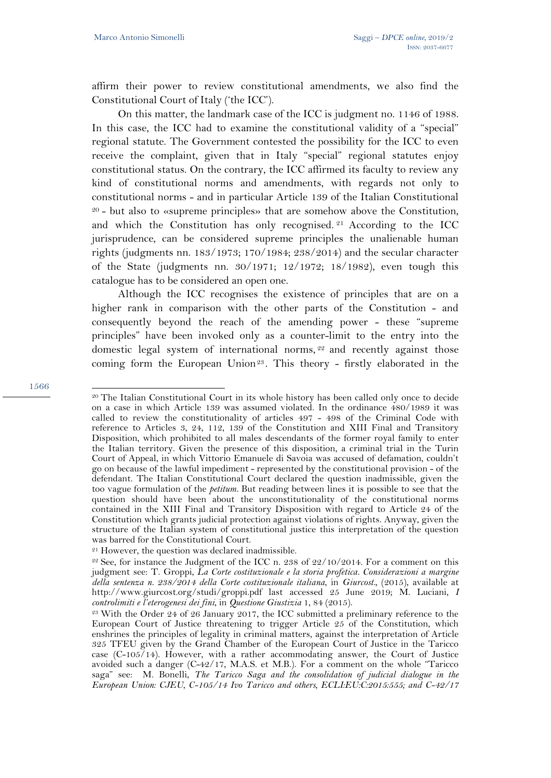affirm their power to review constitutional amendments, we also find the Constitutional Court of Italy ('the ICC').

On this matter, the landmark case of the ICC is judgment no. 1146 of 1988. In this case, the ICC had to examine the constitutional validity of a "special" regional statute. The Government contested the possibility for the ICC to even receive the complaint, given that in Italy "special" regional statutes enjoy constitutional status. On the contrary, the ICC affirmed its faculty to review any kind of constitutional norms and amendments, with regards not only to constitutional norms - and in particular Article 139 of the Italian Constitutional 20 - but also to «supreme principles» that are somehow above the Constitution, and which the Constitution has only recognised. 21 According to the ICC jurisprudence, can be considered supreme principles the unalienable human rights (judgments nn. 183/1973; 170/1984; 238/2014) and the secular character of the State (judgments nn. 30/1971; 12/1972; 18/1982), even tough this catalogue has to be considered an open one.

Although the ICC recognises the existence of principles that are on a higher rank in comparison with the other parts of the Constitution - and consequently beyond the reach of the amending power - these "supreme principles" have been invoked only as a counter-limit to the entry into the domestic legal system of international norms, <sup>22</sup> and recently against those coming form the European Union<sup>23</sup>. This theory - firstly elaborated in the

<sup>&</sup>lt;sup>20</sup> The Italian Constitutional Court in its whole history has been called only once to decide on a case in which Article 139 was assumed violated. In the ordinance 480/1989 it was called to review the constitutionality of articles 497 - 498 of the Criminal Code with reference to Articles 3, 24, 112, 139 of the Constitution and XIII Final and Transitory Disposition, which prohibited to all males descendants of the former royal family to enter the Italian territory. Given the presence of this disposition, a criminal trial in the Turin Court of Appeal, in which Vittorio Emanuele di Savoia was accused of defamation, couldn't go on because of the lawful impediment - represented by the constitutional provision - of the defendant. The Italian Constitutional Court declared the question inadmissible, given the too vague formulation of the *petitum.* But reading between lines it is possible to see that the question should have been about the unconstitutionality of the constitutional norms contained in the XIII Final and Transitory Disposition with regard to Article 24 of the Constitution which grants judicial protection against violations of rights. Anyway, given the structure of the Italian system of constitutional justice this interpretation of the question was barred for the Constitutional Court.

<sup>21</sup> However, the question was declared inadmissible.

 $22$  See, for instance the Judgment of the ICC n. 238 of  $22/10/2014$ . For a comment on this judgment see: T. Groppi, *La Corte costituzionale e la storia profetica. Considerazioni a margine della sentenza n. 238/2014 della Corte costituzionale italiana*, in *Giurcost.,* (2015), available at http://www.giurcost.org/studi/groppi.pdf last accessed 25 June 2019; M. Luciani, *I controlimiti e l'eterogenesi dei fini*, in *Questione Giustizia* 1, 84 (2015). 23 With the Order 24 of 26 January 2017, the ICC submitted a preliminary reference to the

European Court of Justice threatening to trigger Article 25 of the Constitution, which enshrines the principles of legality in criminal matters, against the interpretation of Article 325 TFEU given by the Grand Chamber of the European Court of Justice in the Taricco case (C-105/14). However, with a rather accommodating answer, the Court of Justice avoided such a danger (C-42/17, M.A.S. et M.B.). For a comment on the whole "Taricco saga" see: M. Bonelli, *The Taricco Saga and the consolidation of judicial dialogue in the European Union: CJEU, C-105/14 Ivo Taricco and others, ECLI:EU:C:2015:555; and C-42/17*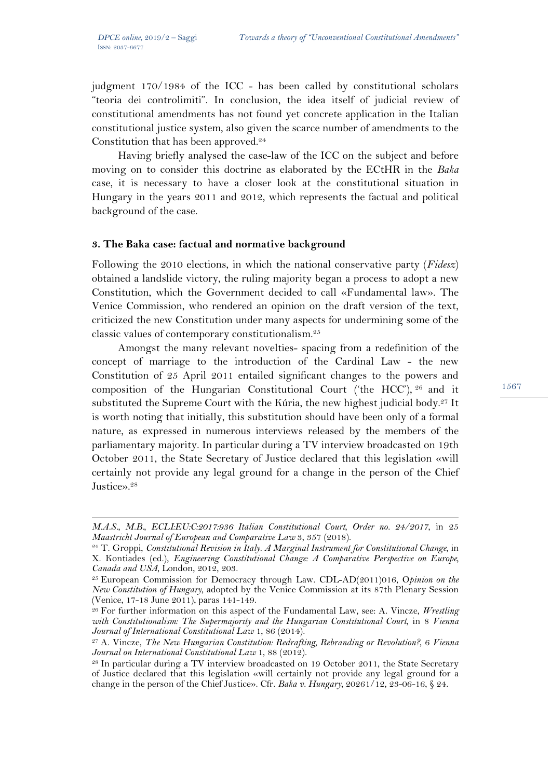$\overline{a}$ 

judgment 170/1984 of the ICC - has been called by constitutional scholars "teoria dei controlimiti". In conclusion, the idea itself of judicial review of constitutional amendments has not found yet concrete application in the Italian constitutional justice system, also given the scarce number of amendments to the Constitution that has been approved.<sup>24</sup>

Having briefly analysed the case-law of the ICC on the subject and before moving on to consider this doctrine as elaborated by the ECtHR in the *Baka* case, it is necessary to have a closer look at the constitutional situation in Hungary in the years 2011 and 2012, which represents the factual and political background of the case.

#### **3. The Baka case: factual and normative background**

Following the 2010 elections, in which the national conservative party (*Fidesz*) obtained a landslide victory, the ruling majority began a process to adopt a new Constitution, which the Government decided to call «Fundamental law». The Venice Commission, who rendered an opinion on the draft version of the text, criticized the new Constitution under many aspects for undermining some of the classic values of contemporary constitutionalism.25

Amongst the many relevant novelties- spacing from a redefinition of the concept of marriage to the introduction of the Cardinal Law - the new Constitution of 25 April 2011 entailed significant changes to the powers and composition of the Hungarian Constitutional Court ('the HCC'), 26 and it substituted the Supreme Court with the Kúria, the new highest judicial body.<sup>27</sup> It is worth noting that initially, this substitution should have been only of a formal nature, as expressed in numerous interviews released by the members of the parliamentary majority. In particular during a TV interview broadcasted on 19th October 2011, the State Secretary of Justice declared that this legislation «will certainly not provide any legal ground for a change in the person of the Chief Justice».<sup>28</sup>

*M.A.S., M.B., ECLI:EU:C:2017:936 Italian Constitutional Court, Order no. 24/2017, in 25 Maastricht Journal of European and Comparative Law 3, 357 (2018).* 

<sup>&</sup>lt;sup>24</sup> T. Groppi, *Constitutional Revision in Italy. A Marginal Instrument for Constitutional Change*, in X. Kontiades (ed.), *Engineering Constitutional Change: A Comparative Perspective on Europe, Canada and USA*, London, 2012, 203. 25 European Commission for Democracy through Law. CDL-AD(2011)016, O*pinion on the* 

*New Constitution of Hungary*, adopted by the Venice Commission at its 87th Plenary Session (Venice, 17-18 June 2011), paras 141-149.

<sup>26</sup> For further information on this aspect of the Fundamental Law, see: A. Vincze, *Wrestling with Constitutionalism: The Supermajority and the Hungarian Constitutional Court*, in 8 *Vienna* 

*Journal of International Constitutional Law* 1, 86 (2014). 27 A. Vincze, *The New Hungarian Constitution: Redrafting, Rebranding or Revolution?*, 6 *Vienna Journal on International Constitutional Law* 1, 88 (2012).<br><sup>28</sup> In particular during a TV interview broadcasted on 19 October 2011, the State Secretary

of Justice declared that this legislation «will certainly not provide any legal ground for a change in the person of the Chief Justice». Cfr. *Baka v. Hungary*, 20261/12, 23-06-16, § 24.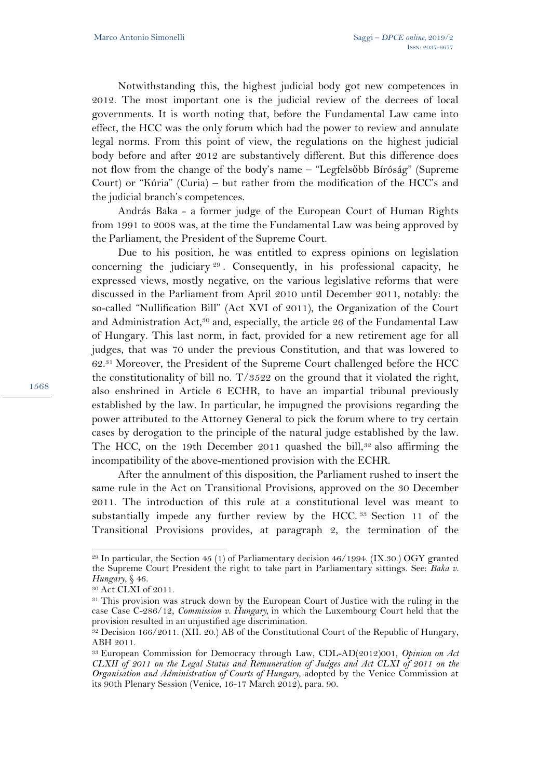Notwithstanding this, the highest judicial body got new competences in 2012. The most important one is the judicial review of the decrees of local governments. It is worth noting that, before the Fundamental Law came into effect, the HCC was the only forum which had the power to review and annulate legal norms. From this point of view, the regulations on the highest judicial body before and after 2012 are substantively different. But this difference does not flow from the change of the body's name – "Legfelsőbb Bíróság" (Supreme Court) or "Kúria" (Curia) – but rather from the modification of the HCC's and the judicial branch's competences.

András Baka - a former judge of the European Court of Human Rights from 1991 to 2008 was, at the time the Fundamental Law was being approved by the Parliament, the President of the Supreme Court.

Due to his position, he was entitled to express opinions on legislation concerning the judiciary <sup>29</sup> . Consequently, in his professional capacity, he expressed views, mostly negative, on the various legislative reforms that were discussed in the Parliament from April 2010 until December 2011, notably: the so-called "Nullification Bill" (Act XVI of 2011), the Organization of the Court and Administration Act,<sup>30</sup> and, especially, the article 26 of the Fundamental Law of Hungary. This last norm, in fact, provided for a new retirement age for all judges, that was 70 under the previous Constitution, and that was lowered to 62.31 Moreover, the President of the Supreme Court challenged before the HCC the constitutionality of bill no. T/3522 on the ground that it violated the right, also enshrined in Article 6 ECHR, to have an impartial tribunal previously established by the law. In particular, he impugned the provisions regarding the power attributed to the Attorney General to pick the forum where to try certain cases by derogation to the principle of the natural judge established by the law. The HCC, on the 19th December 2011 quashed the bill,<sup>32</sup> also affirming the incompatibility of the above-mentioned provision with the ECHR.

After the annulment of this disposition, the Parliament rushed to insert the same rule in the Act on Transitional Provisions, approved on the 30 December 2011. The introduction of this rule at a constitutional level was meant to substantially impede any further review by the HCC.<sup>33</sup> Section 11 of the Transitional Provisions provides, at paragraph 2, the termination of the

 $\overline{a}$ 

 $29$  In particular, the Section 45 (1) of Parliamentary decision 46/1994. (IX.30.) OGY granted the Supreme Court President the right to take part in Parliamentary sittings. See: *Baka v. Hungary*, § 46.<br><sup>30</sup> Act CLXI of 2011.

<sup>&</sup>lt;sup>31</sup> This provision was struck down by the European Court of Justice with the ruling in the case Case C-286/12, *Commission v. Hungary,* in which the Luxembourg Court held that the provision resulted in an unjustified age discrimination.

<sup>32</sup> Decision 166/2011. (XII. 20.) AB of the Constitutional Court of the Republic of Hungary, ABH 2011.

<sup>33</sup> European Commission for Democracy through Law, CDL-AD(2012)001, *Opinion on Act CLXII of 2011 on the Legal Status and Remuneration of Judges and Act CLXI of 2011 on the Organisation and Administration of Courts of Hungary*, adopted by the Venice Commission at its 90th Plenary Session (Venice, 16-17 March 2012), para. 90.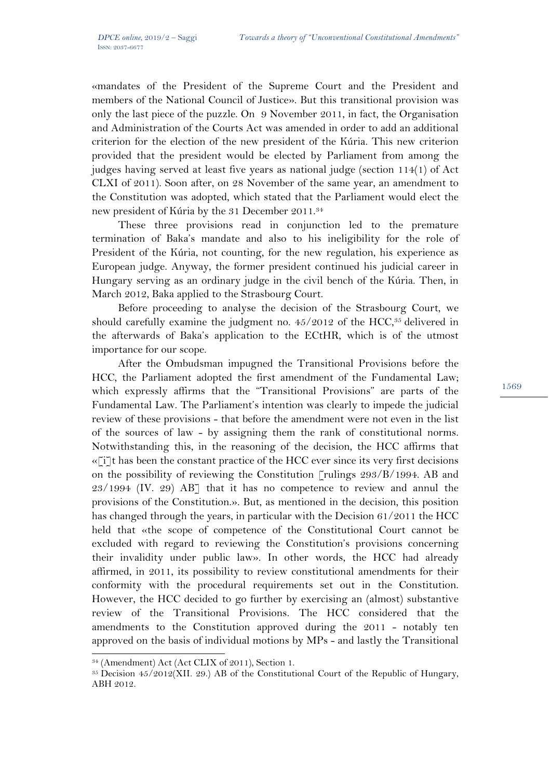«mandates of the President of the Supreme Court and the President and members of the National Council of Justice». But this transitional provision was only the last piece of the puzzle. On 9 November 2011, in fact, the Organisation and Administration of the Courts Act was amended in order to add an additional criterion for the election of the new president of the Kúria. This new criterion provided that the president would be elected by Parliament from among the judges having served at least five years as national judge (section 114(1) of Act CLXI of 2011). Soon after, on 28 November of the same year, an amendment to the Constitution was adopted, which stated that the Parliament would elect the new president of Kúria by the 31 December 2011.34

These three provisions read in conjunction led to the premature termination of Baka's mandate and also to his ineligibility for the role of President of the Kúria, not counting, for the new regulation, his experience as European judge. Anyway, the former president continued his judicial career in Hungary serving as an ordinary judge in the civil bench of the Kúria. Then, in March 2012, Baka applied to the Strasbourg Court.

Before proceeding to analyse the decision of the Strasbourg Court, we should carefully examine the judgment no.  $45/2012$  of the HCC, $35$  delivered in the afterwards of Baka's application to the ECtHR, which is of the utmost importance for our scope.

After the Ombudsman impugned the Transitional Provisions before the HCC, the Parliament adopted the first amendment of the Fundamental Law; which expressly affirms that the "Transitional Provisions" are parts of the Fundamental Law. The Parliament's intention was clearly to impede the judicial review of these provisions - that before the amendment were not even in the list of the sources of law - by assigning them the rank of constitutional norms. Notwithstanding this, in the reasoning of the decision, the HCC affirms that  $\ll$ [i]t has been the constant practice of the HCC ever since its very first decisions on the possibility of reviewing the Constitution [rulings 293/B/1994. AB and 23/1994 (IV. 29) AB] that it has no competence to review and annul the provisions of the Constitution.». But, as mentioned in the decision, this position has changed through the years, in particular with the Decision 61/2011 the HCC held that «the scope of competence of the Constitutional Court cannot be excluded with regard to reviewing the Constitution's provisions concerning their invalidity under public law». In other words, the HCC had already affirmed, in 2011, its possibility to review constitutional amendments for their conformity with the procedural requirements set out in the Constitution. However, the HCC decided to go further by exercising an (almost) substantive review of the Transitional Provisions. The HCC considered that the amendments to the Constitution approved during the 2011 - notably ten approved on the basis of individual motions by MPs - and lastly the Transitional

<sup>34 (</sup>Amendment) Act (Act CLIX of 2011), Section 1.

<sup>35</sup> Decision 45/2012(XII. 29.) AB of the Constitutional Court of the Republic of Hungary, ABH 2012.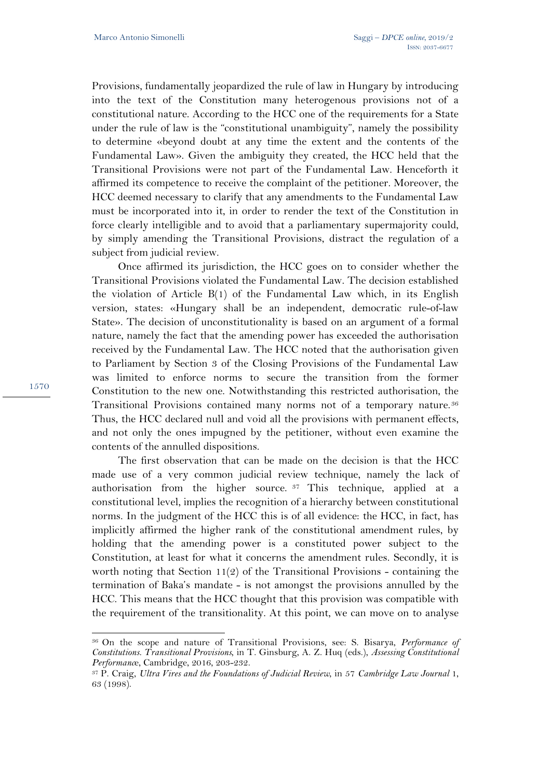Provisions, fundamentally jeopardized the rule of law in Hungary by introducing into the text of the Constitution many heterogenous provisions not of a constitutional nature. According to the HCC one of the requirements for a State under the rule of law is the "constitutional unambiguity", namely the possibility to determine «beyond doubt at any time the extent and the contents of the Fundamental Law». Given the ambiguity they created, the HCC held that the Transitional Provisions were not part of the Fundamental Law. Henceforth it affirmed its competence to receive the complaint of the petitioner. Moreover, the HCC deemed necessary to clarify that any amendments to the Fundamental Law must be incorporated into it, in order to render the text of the Constitution in force clearly intelligible and to avoid that a parliamentary supermajority could, by simply amending the Transitional Provisions, distract the regulation of a subject from judicial review.

Once affirmed its jurisdiction, the HCC goes on to consider whether the Transitional Provisions violated the Fundamental Law. The decision established the violation of Article B(1) of the Fundamental Law which, in its English version, states: «Hungary shall be an independent, democratic rule-of-law State». The decision of unconstitutionality is based on an argument of a formal nature, namely the fact that the amending power has exceeded the authorisation received by the Fundamental Law. The HCC noted that the authorisation given to Parliament by Section 3 of the Closing Provisions of the Fundamental Law was limited to enforce norms to secure the transition from the former Constitution to the new one. Notwithstanding this restricted authorisation, the Transitional Provisions contained many norms not of a temporary nature.36 Thus, the HCC declared null and void all the provisions with permanent effects, and not only the ones impugned by the petitioner, without even examine the contents of the annulled dispositions.

The first observation that can be made on the decision is that the HCC made use of a very common judicial review technique, namely the lack of authorisation from the higher source.  $37$  This technique, applied at a constitutional level, implies the recognition of a hierarchy between constitutional norms. In the judgment of the HCC this is of all evidence: the HCC, in fact, has implicitly affirmed the higher rank of the constitutional amendment rules, by holding that the amending power is a constituted power subject to the Constitution, at least for what it concerns the amendment rules. Secondly, it is worth noting that Section 11(2) of the Transitional Provisions - containing the termination of Baka's mandate - is not amongst the provisions annulled by the HCC. This means that the HCC thought that this provision was compatible with the requirement of the transitionality. At this point, we can move on to analyse

<sup>36</sup> On the scope and nature of Transitional Provisions, see: S. Bisarya, *Performance of Constitutions. Transitional Provisions*, in T. Ginsburg, A. Z. Huq (eds.), *Assessing Constitutional Performance, Cambridge, 2016, 203-232.*<br><sup>37</sup> P. Craig, *Ultra Vires and the Foundations of Judicial Review*, in 57 *Cambridge Law Journal* 1,

<sup>63 (1998).</sup>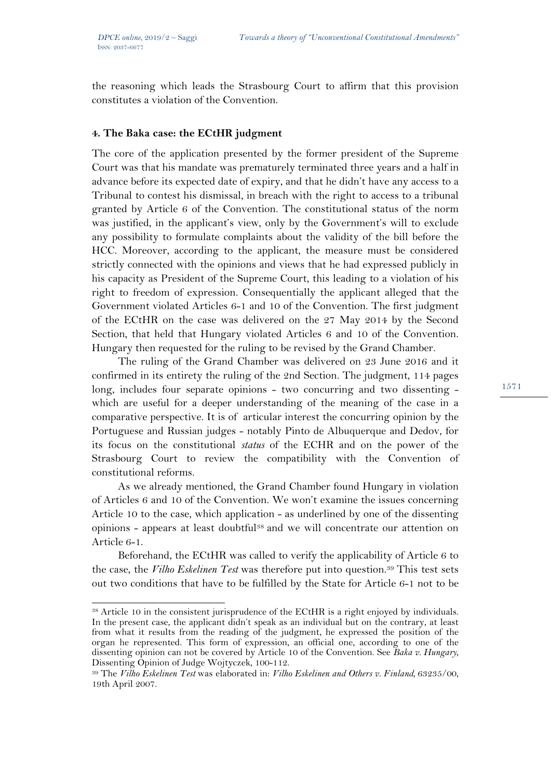the reasoning which leads the Strasbourg Court to affirm that this provision constitutes a violation of the Convention.

### **4. The Baka case: the ECtHR judgment**

The core of the application presented by the former president of the Supreme Court was that his mandate was prematurely terminated three years and a half in advance before its expected date of expiry, and that he didn't have any access to a Tribunal to contest his dismissal, in breach with the right to access to a tribunal granted by Article 6 of the Convention. The constitutional status of the norm was justified, in the applicant's view, only by the Government's will to exclude any possibility to formulate complaints about the validity of the bill before the HCC. Moreover, according to the applicant, the measure must be considered strictly connected with the opinions and views that he had expressed publicly in his capacity as President of the Supreme Court, this leading to a violation of his right to freedom of expression. Consequentially the applicant alleged that the Government violated Articles 6-1 and 10 of the Convention. The first judgment of the ECtHR on the case was delivered on the 27 May 2014 by the Second Section, that held that Hungary violated Articles 6 and 10 of the Convention. Hungary then requested for the ruling to be revised by the Grand Chamber.

The ruling of the Grand Chamber was delivered on 23 June 2016 and it confirmed in its entirety the ruling of the 2nd Section. The judgment, 114 pages long, includes four separate opinions - two concurring and two dissenting which are useful for a deeper understanding of the meaning of the case in a comparative perspective. It is of articular interest the concurring opinion by the Portuguese and Russian judges - notably Pinto de Albuquerque and Dedov, for its focus on the constitutional *status* of the ECHR and on the power of the Strasbourg Court to review the compatibility with the Convention of constitutional reforms.

As we already mentioned, the Grand Chamber found Hungary in violation of Articles 6 and 10 of the Convention. We won't examine the issues concerning Article 10 to the case, which application - as underlined by one of the dissenting opinions - appears at least doubtful38 and we will concentrate our attention on Article 6-1.

Beforehand, the ECtHR was called to verify the applicability of Article 6 to the case, the *Vilho Eskelinen Test* was therefore put into question.39 This test sets out two conditions that have to be fulfilled by the State for Article 6-1 not to be

 $\overline{a}$ 38 Article 10 in the consistent jurisprudence of the ECtHR is a right enjoyed by individuals. In the present case, the applicant didn't speak as an individual but on the contrary, at least from what it results from the reading of the judgment, he expressed the position of the organ he represented. This form of expression, an official one, according to one of the dissenting opinion can not be covered by Article 10 of the Convention. See *Baka v. Hungary*, Dissenting Opinion of Judge Wojtyczek, 100-112.

<sup>39</sup> The *Vilho Eskelinen Test* was elaborated in: *Vilho Eskelinen and Others v. Finland,* 63235/00, 19th April 2007.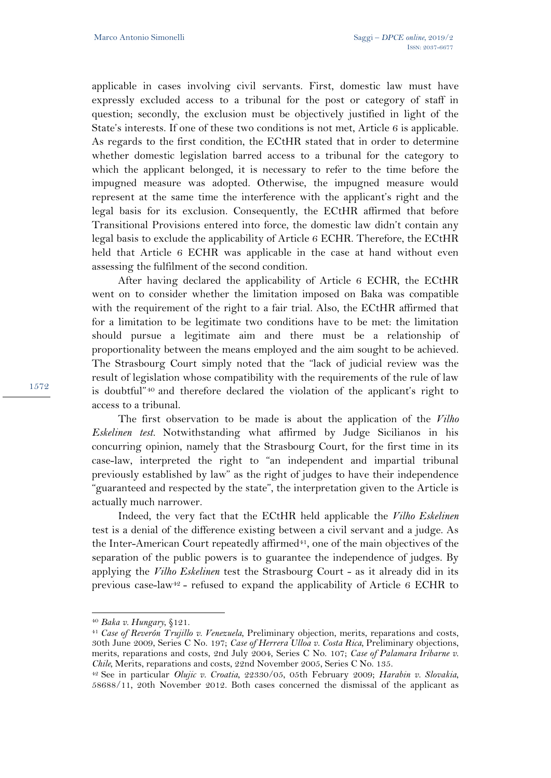applicable in cases involving civil servants. First, domestic law must have expressly excluded access to a tribunal for the post or category of staff in question; secondly, the exclusion must be objectively justified in light of the State's interests. If one of these two conditions is not met, Article 6 is applicable. As regards to the first condition, the ECtHR stated that in order to determine whether domestic legislation barred access to a tribunal for the category to which the applicant belonged, it is necessary to refer to the time before the impugned measure was adopted. Otherwise, the impugned measure would represent at the same time the interference with the applicant's right and the legal basis for its exclusion. Consequently, the ECtHR affirmed that before Transitional Provisions entered into force, the domestic law didn't contain any legal basis to exclude the applicability of Article 6 ECHR. Therefore, the ECtHR held that Article 6 ECHR was applicable in the case at hand without even assessing the fulfilment of the second condition.

After having declared the applicability of Article 6 ECHR, the ECtHR went on to consider whether the limitation imposed on Baka was compatible with the requirement of the right to a fair trial. Also, the ECtHR affirmed that for a limitation to be legitimate two conditions have to be met: the limitation should pursue a legitimate aim and there must be a relationship of proportionality between the means employed and the aim sought to be achieved. The Strasbourg Court simply noted that the "lack of judicial review was the result of legislation whose compatibility with the requirements of the rule of law is doubtful"40 and therefore declared the violation of the applicant's right to access to a tribunal.

The first observation to be made is about the application of the *Vilho Eskelinen test.* Notwithstanding what affirmed by Judge Sicilianos in his concurring opinion, namely that the Strasbourg Court, for the first time in its case-law, interpreted the right to "an independent and impartial tribunal previously established by law" as the right of judges to have their independence "guaranteed and respected by the state", the interpretation given to the Article is actually much narrower.

Indeed, the very fact that the ECtHR held applicable the *Vilho Eskelinen*  test is a denial of the difference existing between a civil servant and a judge. As the Inter-American Court repeatedly affirmed<sup>41</sup>, one of the main objectives of the separation of the public powers is to guarantee the independence of judges. By applying the *Vilho Eskelinen* test the Strasbourg Court - as it already did in its previous case-law<sup>42</sup> - refused to expand the applicability of Article 6 ECHR to

<sup>40</sup> *Baka v. Hungary*, §121. 41 *Case of Reverón Trujillo v. Venezuela,* Preliminary objection, merits, reparations and costs, 30th June 2009, Series C No. 197; *Case of Herrera Ulloa v. Costa Rica,* Preliminary objections, merits, reparations and costs, 2nd July 2004, Series C No. 107; *Case of Palamara Iribarne v. Chile,* Merits, reparations and costs, 22nd November 2005, Series C No. 135. 42 See in particular *Olujic v. Croatia*, 22330/05, 05th February 2009; *Harabin v. Slovakia*,

<sup>58688/11, 20</sup>th November 2012. Both cases concerned the dismissal of the applicant as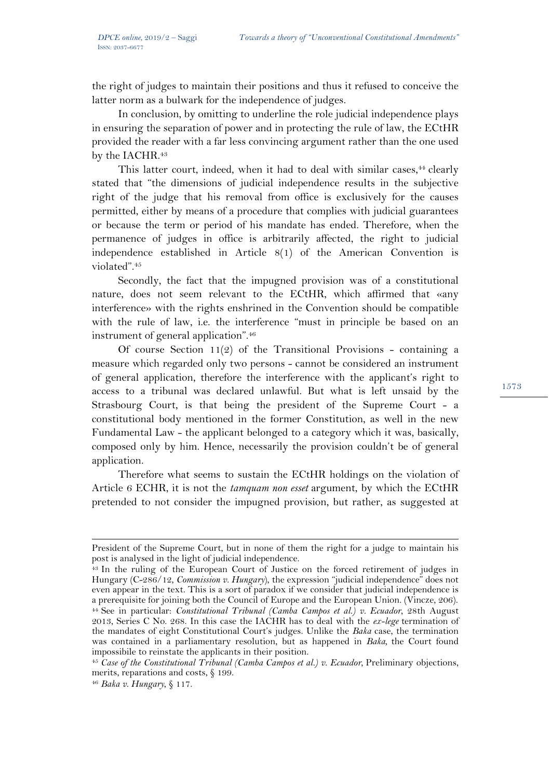the right of judges to maintain their positions and thus it refused to conceive the latter norm as a bulwark for the independence of judges.

In conclusion, by omitting to underline the role judicial independence plays in ensuring the separation of power and in protecting the rule of law, the ECtHR provided the reader with a far less convincing argument rather than the one used by the IACHR.<sup>43</sup>

This latter court, indeed, when it had to deal with similar cases,<sup>44</sup> clearly stated that "the dimensions of judicial independence results in the subjective right of the judge that his removal from office is exclusively for the causes permitted, either by means of a procedure that complies with judicial guarantees or because the term or period of his mandate has ended. Therefore, when the permanence of judges in office is arbitrarily affected, the right to judicial independence established in Article 8(1) of the American Convention is violated".45

Secondly, the fact that the impugned provision was of a constitutional nature, does not seem relevant to the ECtHR, which affirmed that «any interference» with the rights enshrined in the Convention should be compatible with the rule of law, i.e. the interference "must in principle be based on an instrument of general application".46

Of course Section  $11(2)$  of the Transitional Provisions - containing a measure which regarded only two persons - cannot be considered an instrument of general application, therefore the interference with the applicant's right to access to a tribunal was declared unlawful. But what is left unsaid by the Strasbourg Court, is that being the president of the Supreme Court - a constitutional body mentioned in the former Constitution, as well in the new Fundamental Law - the applicant belonged to a category which it was, basically, composed only by him. Hence, necessarily the provision couldn't be of general application.

Therefore what seems to sustain the ECtHR holdings on the violation of Article 6 ECHR, it is not the *tamquam non esset* argument, by which the ECtHR pretended to not consider the impugned provision, but rather, as suggested at

President of the Supreme Court, but in none of them the right for a judge to maintain his post is analysed in the light of judicial independence.<br><sup>43</sup> In the ruling of the European Court of Justice on the forced retirement of judges in

Hungary (C-286/12, *Commission v. Hungary*), the expression "judicial independence" does not even appear in the text. This is a sort of paradox if we consider that judicial independence is a prerequisite for joining both the Council of Europe and the European Union. (Vincze, 206). 44 See in particular: *Constitutional Tribunal (Camba Campos et al.) v. Ecuador*, 28th August 2013, Series C No. 268. In this case the IACHR has to deal with the *ex-lege* termination of the mandates of eight Constitutional Court's judges. Unlike the *Baka* case, the termination was contained in a parliamentary resolution, but as happened in *Baka,* the Court found impossibile to reinstate the applicants in their position.

<sup>45</sup> *Case of the Constitutional Tribunal (Camba Campos et al.) v. Ecuador,* Preliminary objections, merits, reparations and costs, § 199.

<sup>46</sup> *Baka v. Hungary*, § 117.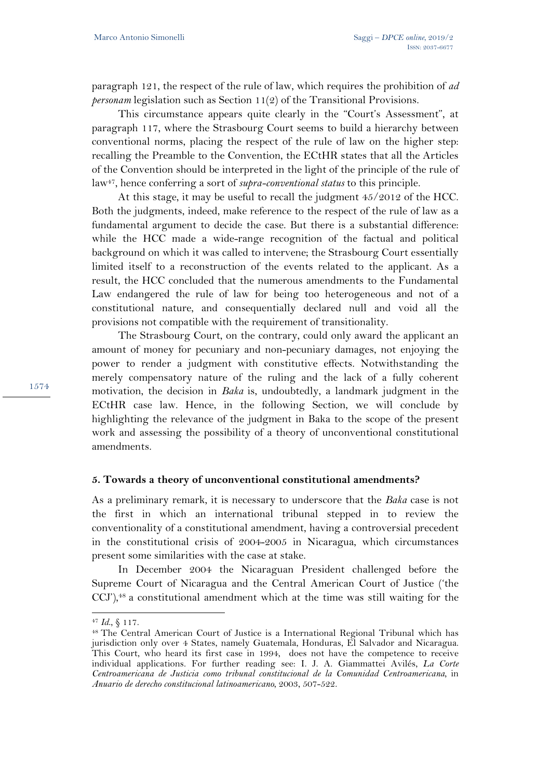paragraph 121, the respect of the rule of law, which requires the prohibition of *ad personam* legislation such as Section 11(2) of the Transitional Provisions.

This circumstance appears quite clearly in the "Court's Assessment", at paragraph 117, where the Strasbourg Court seems to build a hierarchy between conventional norms, placing the respect of the rule of law on the higher step: recalling the Preamble to the Convention, the ECtHR states that all the Articles of the Convention should be interpreted in the light of the principle of the rule of law47, hence conferring a sort of *supra-conventional status* to this principle.

At this stage, it may be useful to recall the judgment 45/2012 of the HCC. Both the judgments, indeed, make reference to the respect of the rule of law as a fundamental argument to decide the case. But there is a substantial difference: while the HCC made a wide-range recognition of the factual and political background on which it was called to intervene; the Strasbourg Court essentially limited itself to a reconstruction of the events related to the applicant. As a result, the HCC concluded that the numerous amendments to the Fundamental Law endangered the rule of law for being too heterogeneous and not of a constitutional nature, and consequentially declared null and void all the provisions not compatible with the requirement of transitionality.

The Strasbourg Court, on the contrary, could only award the applicant an amount of money for pecuniary and non-pecuniary damages, not enjoying the power to render a judgment with constitutive effects. Notwithstanding the merely compensatory nature of the ruling and the lack of a fully coherent motivation, the decision in *Baka* is, undoubtedly, a landmark judgment in the ECtHR case law. Hence, in the following Section, we will conclude by highlighting the relevance of the judgment in Baka to the scope of the present work and assessing the possibility of a theory of unconventional constitutional amendments.

## **5. Towards a theory of unconventional constitutional amendments?**

As a preliminary remark, it is necessary to underscore that the *Baka* case is not the first in which an international tribunal stepped in to review the conventionality of a constitutional amendment, having a controversial precedent in the constitutional crisis of 2004-2005 in Nicaragua, which circumstances present some similarities with the case at stake.

In December 2004 the Nicaraguan President challenged before the Supreme Court of Nicaragua and the Central American Court of Justice ('the CCJ'),<sup>48</sup> a constitutional amendment which at the time was still waiting for the

 $\overline{a}$ 

<sup>&</sup>lt;sup>47</sup> Id., § 117.<br><sup>48</sup> The Central American Court of Justice is a International Regional Tribunal which has jurisdiction only over 4 States, namely Guatemala, Honduras, El Salvador and Nicaragua. This Court, who heard its first case in 1994, does not have the competence to receive individual applications. For further reading see: I. J. A. Giammattei Avilés, *La Corte Centroamericana de Justicia como tribunal constitucional de la Comunidad Centroamericana,* in *Anuario de derecho constitucional latinoamericano*, 2003, 507-522.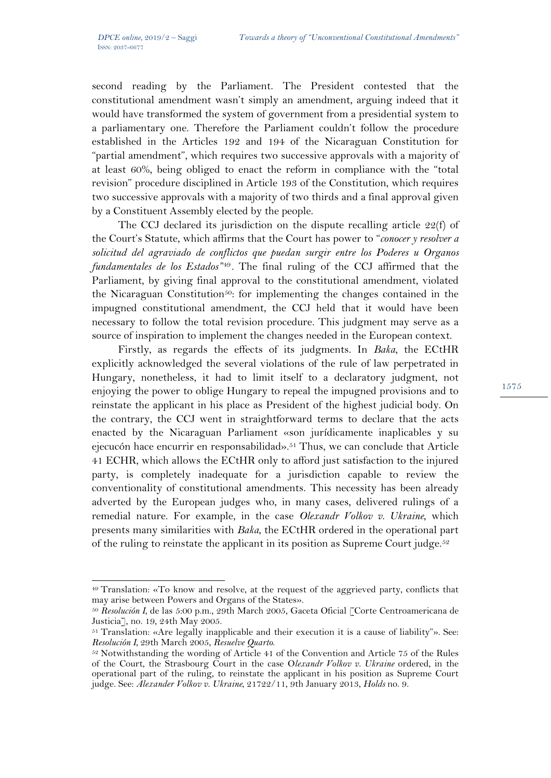$\overline{a}$ 

second reading by the Parliament. The President contested that the constitutional amendment wasn't simply an amendment, arguing indeed that it would have transformed the system of government from a presidential system to a parliamentary one. Therefore the Parliament couldn't follow the procedure established in the Articles 192 and 194 of the Nicaraguan Constitution for "partial amendment", which requires two successive approvals with a majority of at least 60%, being obliged to enact the reform in compliance with the "total revision" procedure disciplined in Article 193 of the Constitution, which requires two successive approvals with a majority of two thirds and a final approval given by a Constituent Assembly elected by the people.

The CCJ declared its jurisdiction on the dispute recalling article 22(f) of the Court's Statute, which affirms that the Court has power to "*conocer y resolver a solicitud del agraviado de conflictos que puedan surgir entre los Poderes u Organos fundamentales de los Estados"*49*.* The final ruling of the CCJ affirmed that the Parliament, by giving final approval to the constitutional amendment, violated the Nicaraguan Constitution<sup>50</sup>: for implementing the changes contained in the impugned constitutional amendment, the CCJ held that it would have been necessary to follow the total revision procedure. This judgment may serve as a source of inspiration to implement the changes needed in the European context.

Firstly, as regards the effects of its judgments. In *Baka*, the ECtHR explicitly acknowledged the several violations of the rule of law perpetrated in Hungary, nonetheless, it had to limit itself to a declaratory judgment, not enjoying the power to oblige Hungary to repeal the impugned provisions and to reinstate the applicant in his place as President of the highest judicial body. On the contrary, the CCJ went in straightforward terms to declare that the acts enacted by the Nicaraguan Parliament «son jurídicamente inaplicables y su ejecucón hace encurrir en responsabilidad».<sup>51</sup> Thus, we can conclude that Article 41 ECHR, which allows the ECtHR only to afford just satisfaction to the injured party, is completely inadequate for a jurisdiction capable to review the conventionality of constitutional amendments. This necessity has been already adverted by the European judges who, in many cases, delivered rulings of a remedial nature. For example, in the case *Olexandr Volkov v. Ukraine*, which presents many similarities with *Baka*, the ECtHR ordered in the operational part of the ruling to reinstate the applicant in its position as Supreme Court judge.<sup>52</sup>

<sup>49</sup> Translation: «To know and resolve, at the request of the aggrieved party, conflicts that may arise between Powers and Organs of the States».

<sup>50</sup> *Resolución I*, de las 5:00 p.m., 29th March 2005, Gaceta Oficial [Corte Centroamericana de Justicia], no. 19, 24th May 2005.

 $51$  Translation: «Are legally inapplicable and their execution it is a cause of liability"». See: *Resolución I*, 29th March 2005, *Resuelve Quarto*.

<sup>&</sup>lt;sup>52</sup> Notwithstanding the wording of Article 41 of the Convention and Article 75 of the Rules of the Court, the Strasbourg Court in the case O*lexandr Volkov v. Ukraine* ordered, in the operational part of the ruling, to reinstate the applicant in his position as Supreme Court judge. See: *Alexander Volkov v. Ukraine*, 21722/11, 9th January 2013, *Holds* no. 9.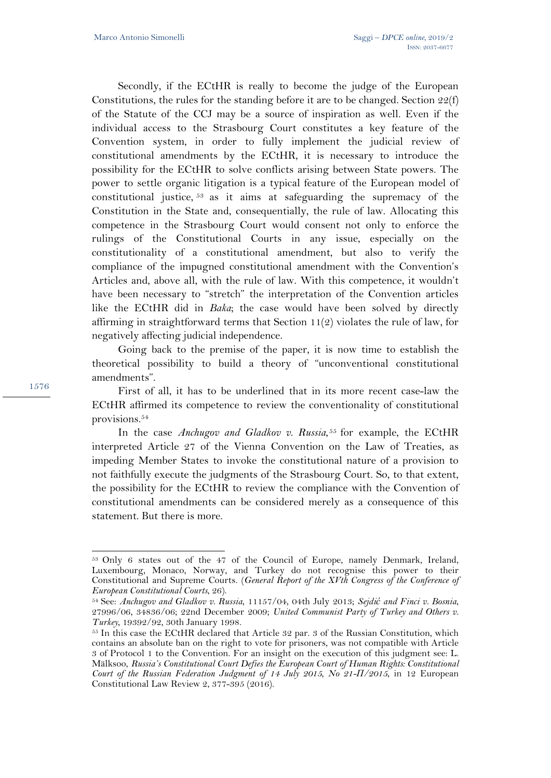Secondly, if the ECtHR is really to become the judge of the European Constitutions, the rules for the standing before it are to be changed. Section 22(f) of the Statute of the CCJ may be a source of inspiration as well. Even if the individual access to the Strasbourg Court constitutes a key feature of the Convention system, in order to fully implement the judicial review of constitutional amendments by the ECtHR, it is necessary to introduce the possibility for the ECtHR to solve conflicts arising between State powers. The power to settle organic litigation is a typical feature of the European model of constitutional justice, 53 as it aims at safeguarding the supremacy of the Constitution in the State and, consequentially, the rule of law. Allocating this competence in the Strasbourg Court would consent not only to enforce the rulings of the Constitutional Courts in any issue, especially on the constitutionality of a constitutional amendment, but also to verify the compliance of the impugned constitutional amendment with the Convention's Articles and, above all, with the rule of law. With this competence, it wouldn't have been necessary to "stretch" the interpretation of the Convention articles like the ECtHR did in *Baka*; the case would have been solved by directly affirming in straightforward terms that Section 11(2) violates the rule of law, for negatively affecting judicial independence.

Going back to the premise of the paper, it is now time to establish the theoretical possibility to build a theory of "unconventional constitutional amendments".

First of all, it has to be underlined that in its more recent case-law the ECtHR affirmed its competence to review the conventionality of constitutional provisions.54

In the case *Anchugov and Gladkov v. Russia*, 55 for example, the ECtHR interpreted Article 27 of the Vienna Convention on the Law of Treaties, as impeding Member States to invoke the constitutional nature of a provision to not faithfully execute the judgments of the Strasbourg Court. So, to that extent, the possibility for the ECtHR to review the compliance with the Convention of constitutional amendments can be considered merely as a consequence of this statement. But there is more.

1576

l

<sup>53</sup> Only 6 states out of the 47 of the Council of Europe, namely Denmark, Ireland, Luxembourg, Monaco, Norway, and Turkey do not recognise this power to their Constitutional and Supreme Courts. (*General Report of the XVth Congress of the Conference of European Constitutional Courts*, 26). 54 See: *Anchugov and Gladkov v. Russia*, 11157/04, 04th July 2013; *Sejdić and Finci v. Bosnia*,

<sup>27996/06, 34836/06; 22</sup>nd December 2009; *United Communist Party of Turkey and Others v. Turkey*, 19392/92, 30th January 1998.<br><sup>55</sup> In this case the ECtHR declared that Article 32 par. 3 of the Russian Constitution, which

contains an absolute ban on the right to vote for prisoners, was not compatible with Article 3 of Protocol 1 to the Convention. For an insight on the execution of this judgment see: L. Mälksoo, *Russia's Constitutional Court Defies the European Court of Human Rights: Constitutional Court of the Russian Federation Judgment of 14 July 2015, No 21-П/2015*, in 12 European Constitutional Law Review 2, 377-395 (2016).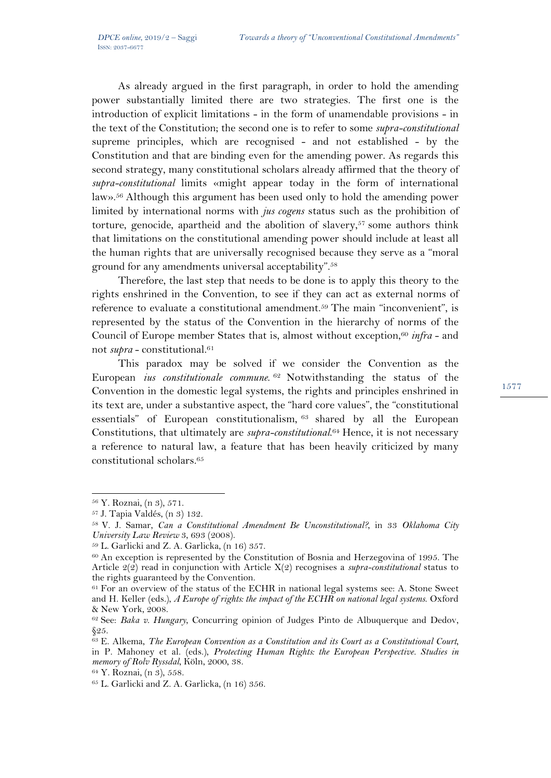As already argued in the first paragraph, in order to hold the amending power substantially limited there are two strategies. The first one is the introduction of explicit limitations - in the form of unamendable provisions - in the text of the Constitution; the second one is to refer to some *supra-constitutional* supreme principles, which are recognised - and not established - by the Constitution and that are binding even for the amending power. As regards this second strategy, many constitutional scholars already affirmed that the theory of *supra-constitutional* limits «might appear today in the form of international law».56 Although this argument has been used only to hold the amending power limited by international norms with *jus cogens* status such as the prohibition of torture, genocide, apartheid and the abolition of slavery, $57$  some authors think that limitations on the constitutional amending power should include at least all the human rights that are universally recognised because they serve as a "moral ground for any amendments universal acceptability".58

Therefore, the last step that needs to be done is to apply this theory to the rights enshrined in the Convention, to see if they can act as external norms of reference to evaluate a constitutional amendment.<sup>59</sup> The main "inconvenient", is represented by the status of the Convention in the hierarchy of norms of the Council of Europe member States that is, almost without exception,<sup>60</sup> *infra* - and not *supra* - constitutional.61

This paradox may be solved if we consider the Convention as the European *ius constitutionale commune*. <sup>62</sup> Notwithstanding the status of the Convention in the domestic legal systems, the rights and principles enshrined in its text are, under a substantive aspect, the "hard core values", the "constitutional essentials" of European constitutionalism, 63 shared by all the European Constitutions, that ultimately are *supra-constitutional*. <sup>64</sup> Hence, it is not necessary a reference to natural law, a feature that has been heavily criticized by many constitutional scholars.65

<sup>56</sup> Y. Roznai, (n 3), 571.

<sup>57</sup> J. Tapia Valdés, (n 3) 132.

<sup>58</sup> V. J. Samar, *Can a Constitutional Amendment Be Unconstitutional?*, in 33 *Oklahoma City University Law Review* 3, 693 (2008).<br><sup>59</sup> L. Garlicki and Z. A. Garlicka, (n 16) 357.

<sup>60</sup> An exception is represented by the Constitution of Bosnia and Herzegovina of 1995. The Article 2(2) read in conjunction with Article X(2) recognises a *supra-constitutional* status to the rights guaranteed by the Convention.

<sup>61</sup> For an overview of the status of the ECHR in national legal systems see: A. Stone Sweet and H. Keller (eds.), *A Europe of rights: the impact of the ECHR on national legal systems*. Oxford & New York, 2008.

<sup>62</sup> See: *Baka v. Hungary*, Concurring opinion of Judges Pinto de Albuquerque and Dedov, §25.

<sup>63</sup> E. Alkema, *The European Convention as a Constitution and its Court as a Constitutional Court*, in P. Mahoney et al. (eds.), *Protecting Human Rights: the European Perspective. Studies in memory of Rolv Ryssdal*, Köln, 2000, 38. 64 Y. Roznai, (n 3), 558.

<sup>65</sup> L. Garlicki and Z. A. Garlicka, (n 16) 356.